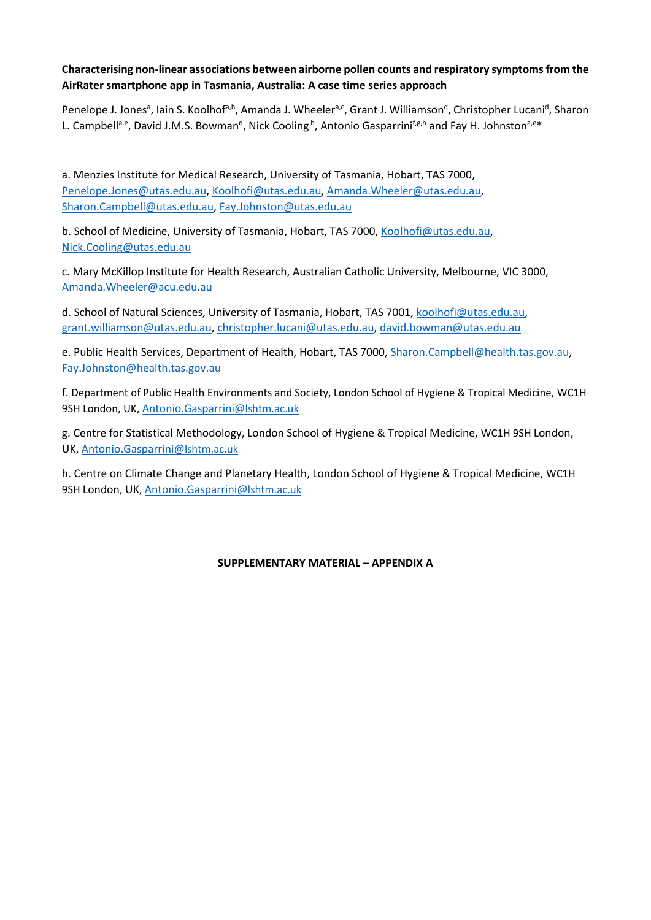## **Characterising non-linear associations between airborne pollen counts and respiratory symptoms from the AirRater smartphone app in Tasmania, Australia: A case time series approach**

Penelope J. Jones<sup>a</sup>, Iain S. Koolhof<sup>a,b</sup>, Amanda J. Wheeler<sup>a,c</sup>, Grant J. Williamson<sup>d</sup>, Christopher Lucani<sup>d</sup>, Sharon L. Campbell<sup>a,e</sup>, David J.M.S. Bowman<sup>d</sup>, Nick Cooling <sup>b</sup>, Antonio Gasparrini<sup>f,g,h</sup> and Fay H. Johnston<sup>a,e\*</sup>

a. Menzies Institute for Medical Research, University of Tasmania, Hobart, TAS 7000, [Penelope.Jones@utas.edu.au,](mailto:Penelope.Jones@utas.edu.au) [Koolhofi@utas.edu.au,](mailto:Koolhofi@utas.edu.au) [Amanda.Wheeler@utas.edu.au,](mailto:Amanda.Wheeler@utas.edu.au) [Sharon.Campbell@utas.edu.au,](mailto:Sharon.Campbell@utas.edu.au) [Fay.Johnston@utas.edu.au](mailto:Fay.Johnston@utas.edu.au)

b. School of Medicine, University of Tasmania, Hobart, TAS 7000[, Koolhofi@utas.edu.au,](mailto:Koolhofi@utas.edu.au) [Nick.Cooling@utas.edu.au](mailto:Nick.Cooling@utas.edu.au) 

c. Mary McKillop Institute for Health Research, Australian Catholic University, Melbourne, VIC 3000, [Amanda.Wheeler@acu.edu.au](mailto:Amanda.Wheeler@acu.edu.au)

d. School of Natural Sciences, University of Tasmania, Hobart, TAS 7001, [koolhofi@utas.edu.au,](mailto:koolhofi@utas.edu.au) [grant.williamson@utas.edu.au,](mailto:grant.williamson@utas.edu.au) [christopher.lucani@utas.edu.au,](mailto:christopher.lucani@utas.edu.au) [david.bowman@utas.edu.au](mailto:david.bowman@utas.edu.au)

e. Public Health Services, Department of Health, Hobart, TAS 7000, [Sharon.Campbell@health.tas.gov.au,](mailto:Sharon.Campbell@health.tas.gov.au) [Fay.Johnston@health.tas.gov.au](mailto:Fay.Johnston@health.tas.gov.au)

f. Department of Public Health Environments and Society, London School of Hygiene & Tropical Medicine, WC1H 9SH London, UK, [Antonio.Gasparrini@](mailto:Antonio.Gasparrini@lshtm.ac.uk)[lshtm.ac.uk](mailto:Antonio.Gasparrini@lshtm.ac.uk)

g. Centre for Statistical Methodology, London School of Hygiene & Tropical Medicine, WC1H 9SH London, UK, [Antonio.Gasparrini@](mailto:Antonio.Gasparrini@lshtm.ac.uk)[lshtm.ac.uk](mailto:Antonio.Gasparrini@lshtm.ac.uk)

h. Centre on Climate Change and Planetary Health, London School of Hygiene & Tropical Medicine, WC1H 9SH London, UK, [Antonio.Gasparrini@](mailto:Antonio.Gasparrini@lshtm.ac.uk)[lshtm.ac.uk](mailto:Antonio.Gasparrini@lshtm.ac.uk)

## **SUPPLEMENTARY MATERIAL – APPENDIX A**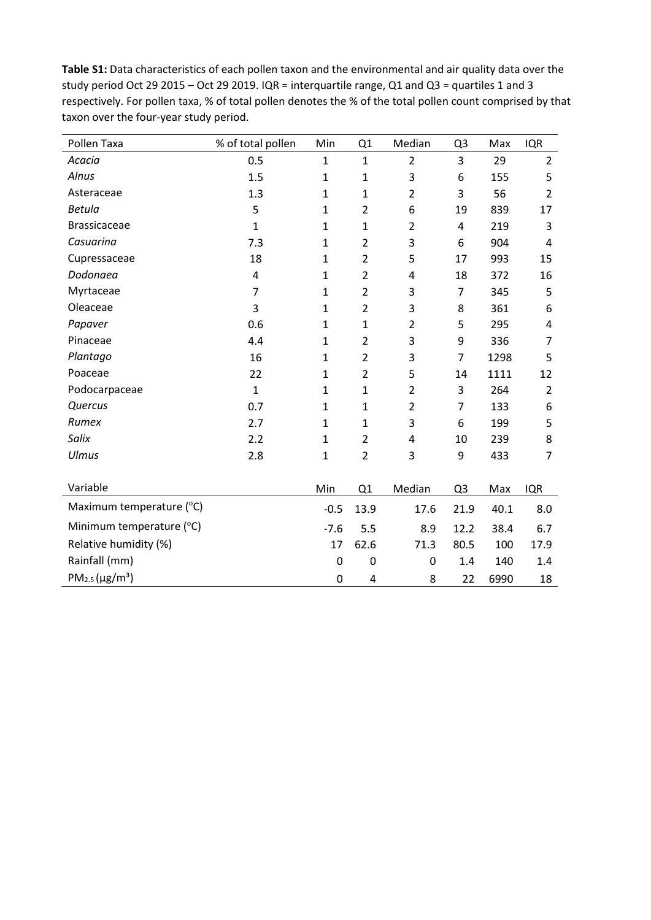**Table S1:** Data characteristics of each pollen taxon and the environmental and air quality data over the study period Oct 29 2015 – Oct 29 2019. IQR = interquartile range, Q1 and Q3 = quartiles 1 and 3 respectively. For pollen taxa, % of total pollen denotes the % of the total pollen count comprised by that taxon over the four-year study period.

| Pollen Taxa              | % of total pollen | Min          | Q1             | Median         | Q <sub>3</sub>          | Max  | <b>IQR</b>     |
|--------------------------|-------------------|--------------|----------------|----------------|-------------------------|------|----------------|
| Acacia                   | 0.5               | $\mathbf{1}$ | $\mathbf{1}$   | $\overline{2}$ | 3                       | 29   | $\overline{2}$ |
| Alnus                    | 1.5               | 1            | $\mathbf{1}$   | 3              | 6                       | 155  | 5              |
| Asteraceae               | 1.3               | $\mathbf{1}$ | $\mathbf{1}$   | $\overline{2}$ | 3                       | 56   | $\overline{2}$ |
| <b>Betula</b>            | 5                 | $\mathbf{1}$ | $\overline{2}$ | 6              | 19                      | 839  | 17             |
| <b>Brassicaceae</b>      | $\mathbf 1$       | $\mathbf{1}$ | $\mathbf{1}$   | $\overline{2}$ | $\overline{\mathbf{4}}$ | 219  | 3              |
| Casuarina                | 7.3               | $\mathbf{1}$ | $\overline{2}$ | 3              | 6                       | 904  | 4              |
| Cupressaceae             | 18                | $\mathbf{1}$ | $\overline{2}$ | 5              | 17                      | 993  | 15             |
| Dodonaea                 | 4                 | $\mathbf{1}$ | $\overline{2}$ | 4              | 18                      | 372  | 16             |
| Myrtaceae                | $\overline{7}$    | $\mathbf{1}$ | $\overline{2}$ | 3              | $\overline{7}$          | 345  | 5              |
| Oleaceae                 | 3                 | 1            | $\overline{2}$ | 3              | 8                       | 361  | 6              |
| Papaver                  | 0.6               | 1            | $\mathbf{1}$   | $\overline{2}$ | 5                       | 295  | 4              |
| Pinaceae                 | 4.4               | $\mathbf{1}$ | $\overline{2}$ | 3              | 9                       | 336  | 7              |
| Plantago                 | 16                | 1            | $\overline{2}$ | 3              | $\overline{7}$          | 1298 | 5              |
| Poaceae                  | 22                | 1            | $\overline{2}$ | 5              | 14                      | 1111 | 12             |
| Podocarpaceae            | $\mathbf{1}$      | $\mathbf{1}$ | $\mathbf{1}$   | $\overline{2}$ | 3                       | 264  | $\overline{2}$ |
| Quercus                  | 0.7               | 1            | 1              | $\overline{2}$ | $\overline{7}$          | 133  | 6              |
| Rumex                    | 2.7               | 1            | 1              | 3              | 6                       | 199  | 5              |
| Salix                    | 2.2               | $\mathbf 1$  | $\overline{2}$ | 4              | 10                      | 239  | 8              |
| <b>Ulmus</b>             | 2.8               | $\mathbf{1}$ | $\overline{2}$ | 3              | 9                       | 433  | $\overline{7}$ |
| Variable                 |                   | Min          | Q1             | Median         | Q <sub>3</sub>          | Max  | <b>IQR</b>     |
| Maximum temperature (°C) |                   | $-0.5$       | 13.9           | 17.6           | 21.9                    | 40.1 | 8.0            |
| Minimum temperature (°C) |                   | $-7.6$       | 5.5            | 8.9            | 12.2                    | 38.4 | 6.7            |
| Relative humidity (%)    |                   | 17           | 62.6           | 71.3           | 80.5                    | 100  | 17.9           |
| Rainfall (mm)            |                   | 0            | 0              | 0              | 1.4                     | 140  | 1.4            |
| $PM_{2.5} (\mu g/m^3)$   |                   | $\pmb{0}$    | 4              | 8              | 22                      | 6990 | 18             |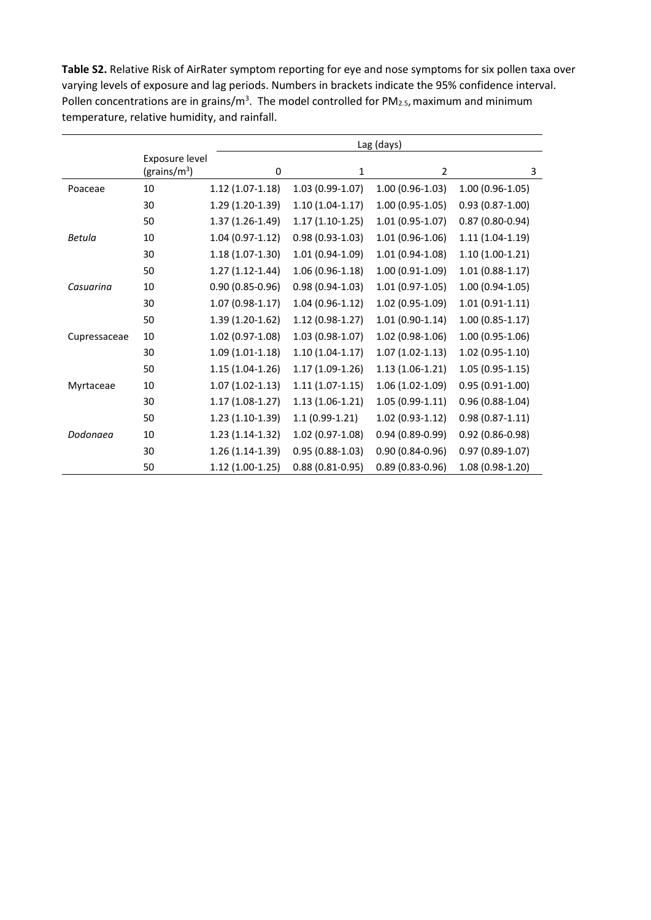**Table S2.** Relative Risk of AirRater symptom reporting for eye and nose symptoms for six pollen taxa over varying levels of exposure and lag periods. Numbers in brackets indicate the 95% confidence interval. Pollen concentrations are in grains/ $m^3$ . The model controlled for PM<sub>2.5</sub>, maximum and minimum temperature, relative humidity, and rainfall.

|              |                                    |                     | Lag (days)          |                     |                     |  |  |
|--------------|------------------------------------|---------------------|---------------------|---------------------|---------------------|--|--|
|              | Exposure level<br>(grains/ $m^3$ ) | 0                   | 1                   | $\overline{2}$      | 3                   |  |  |
| Poaceae      | 10                                 | 1.12 (1.07-1.18)    | $1.03(0.99-1.07)$   | $1.00(0.96-1.03)$   | $1.00(0.96-1.05)$   |  |  |
|              | 30                                 | 1.29 (1.20-1.39)    | $1.10(1.04-1.17)$   | $1.00(0.95-1.05)$   | $0.93(0.87 - 1.00)$ |  |  |
|              | 50                                 | 1.37 (1.26-1.49)    | $1.17(1.10-1.25)$   | $1.01(0.95-1.07)$   | $0.87(0.80 - 0.94)$ |  |  |
| Betula       | 10                                 | $1.04(0.97-1.12)$   | $0.98(0.93-1.03)$   | $1.01(0.96-1.06)$   | $1.11(1.04-1.19)$   |  |  |
|              | 30                                 | $1.18(1.07-1.30)$   | $1.01(0.94-1.09)$   | $1.01(0.94-1.08)$   | $1.10(1.00-1.21)$   |  |  |
|              | 50                                 | $1.27(1.12-1.44)$   | $1.06(0.96-1.18)$   | $1.00(0.91-1.09)$   | $1.01(0.88-1.17)$   |  |  |
| Casuarina    | 10                                 | $0.90(0.85 - 0.96)$ | $0.98(0.94-1.03)$   | $1.01(0.97-1.05)$   | 1.00 (0.94-1.05)    |  |  |
|              | 30                                 | $1.07(0.98-1.17)$   | $1.04(0.96-1.12)$   | 1.02 (0.95-1.09)    | $1.01(0.91-1.11)$   |  |  |
|              | 50                                 | 1.39 (1.20-1.62)    | 1.12 (0.98-1.27)    | $1.01(0.90-1.14)$   | $1.00(0.85 - 1.17)$ |  |  |
| Cupressaceae | 10                                 | 1.02 (0.97-1.08)    | $1.03(0.98-1.07)$   | 1.02 (0.98-1.06)    | $1.00(0.95-1.06)$   |  |  |
|              | 30                                 | $1.09(1.01-1.18)$   | $1.10(1.04-1.17)$   | $1.07(1.02-1.13)$   | $1.02(0.95-1.10)$   |  |  |
|              | 50                                 | $1.15(1.04-1.26)$   | 1.17 (1.09-1.26)    | $1.13(1.06-1.21)$   | $1.05(0.95-1.15)$   |  |  |
| Myrtaceae    | 10                                 | $1.07(1.02 - 1.13)$ | $1.11(1.07-1.15)$   | $1.06(1.02-1.09)$   | $0.95(0.91-1.00)$   |  |  |
|              | 30                                 | $1.17(1.08-1.27)$   | $1.13(1.06-1.21)$   | $1.05(0.99-1.11)$   | $0.96(0.88-1.04)$   |  |  |
|              | 50                                 | 1.23 (1.10-1.39)    | $1.1(0.99-1.21)$    | $1.02(0.93-1.12)$   | $0.98(0.87 - 1.11)$ |  |  |
| Dodonaea     | 10                                 | $1.23(1.14-1.32)$   | 1.02 (0.97-1.08)    | $0.94(0.89 - 0.99)$ | $0.92(0.86 - 0.98)$ |  |  |
|              | 30                                 | 1.26 (1.14-1.39)    | $0.95(0.88-1.03)$   | $0.90(0.84 - 0.96)$ | $0.97(0.89-1.07)$   |  |  |
|              | 50                                 | 1.12 (1.00-1.25)    | $0.88(0.81 - 0.95)$ | $0.89(0.83 - 0.96)$ | 1.08 (0.98-1.20)    |  |  |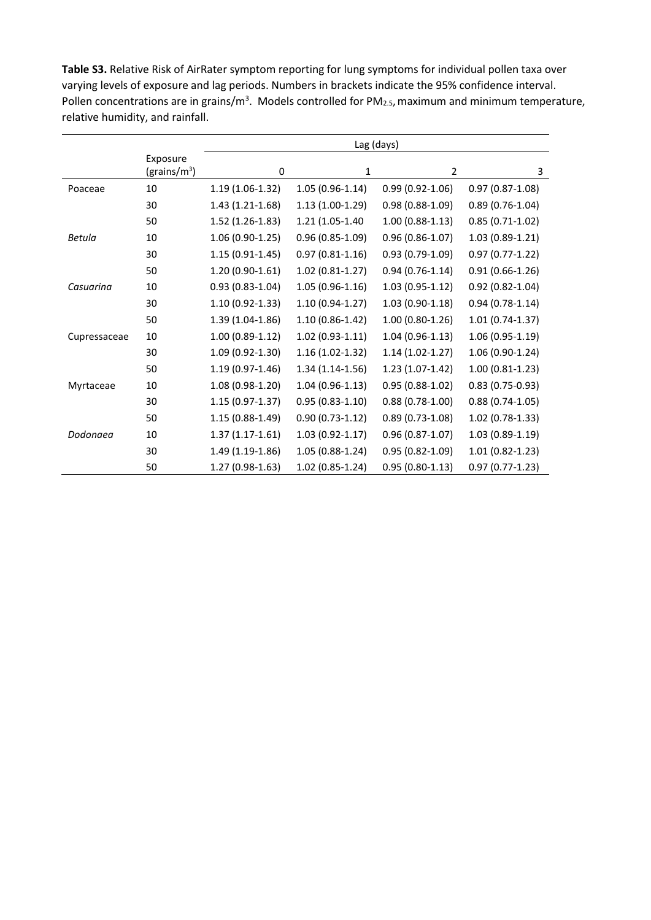**Table S3.** Relative Risk of AirRater symptom reporting for lung symptoms for individual pollen taxa over varying levels of exposure and lag periods. Numbers in brackets indicate the 95% confidence interval. Pollen concentrations are in grains/ $m^3$ . Models controlled for PM<sub>2.5</sub>, maximum and minimum temperature, relative humidity, and rainfall.

|              |                              | Lag (days)        |                     |                     |                     |
|--------------|------------------------------|-------------------|---------------------|---------------------|---------------------|
|              | Exposure<br>(grains/ $m^3$ ) | 0                 | 1                   | $\overline{2}$      | 3                   |
| Poaceae      | 10                           | $1.19(1.06-1.32)$ | $1.05(0.96-1.14)$   | $0.99(0.92 - 1.06)$ | $0.97(0.87 - 1.08)$ |
|              | 30                           | 1.43 (1.21-1.68)  | $1.13(1.00-1.29)$   | $0.98(0.88-1.09)$   | $0.89(0.76-1.04)$   |
|              | 50                           | 1.52 (1.26-1.83)  | 1.21 (1.05-1.40     | $1.00(0.88-1.13)$   | $0.85(0.71-1.02)$   |
| Betula       | 10                           | 1.06 (0.90-1.25)  | $0.96(0.85-1.09)$   | $0.96(0.86 - 1.07)$ | 1.03 (0.89-1.21)    |
|              | 30                           | $1.15(0.91-1.45)$ | $0.97(0.81 - 1.16)$ | $0.93(0.79-1.09)$   | $0.97(0.77-1.22)$   |
|              | 50                           | $1.20(0.90-1.61)$ | $1.02(0.81-1.27)$   | $0.94(0.76-1.14)$   | $0.91(0.66-1.26)$   |
| Casuarina    | 10                           | $0.93(0.83-1.04)$ | $1.05(0.96-1.16)$   | $1.03(0.95-1.12)$   | $0.92(0.82 - 1.04)$ |
|              | 30                           | 1.10 (0.92-1.33)  | $1.10(0.94-1.27)$   | $1.03(0.90-1.18)$   | $0.94(0.78-1.14)$   |
|              | 50                           | 1.39 (1.04-1.86)  | $1.10(0.86 - 1.42)$ | $1.00(0.80-1.26)$   | $1.01(0.74-1.37)$   |
| Cupressaceae | 10                           | $1.00(0.89-1.12)$ | $1.02(0.93-1.11)$   | $1.04(0.96-1.13)$   | 1.06 (0.95-1.19)    |
|              | 30                           | 1.09 (0.92-1.30)  | 1.16 (1.02-1.32)    | $1.14(1.02-1.27)$   | 1.06 (0.90-1.24)    |
|              | 50                           | 1.19 (0.97-1.46)  | 1.34 (1.14-1.56)    | $1.23(1.07-1.42)$   | 1.00 (0.81-1.23)    |
| Myrtaceae    | 10                           | 1.08 (0.98-1.20)  | $1.04(0.96-1.13)$   | $0.95(0.88-1.02)$   | $0.83(0.75-0.93)$   |
|              | 30                           | $1.15(0.97-1.37)$ | $0.95(0.83-1.10)$   | $0.88(0.78-1.00)$   | $0.88(0.74-1.05)$   |
|              | 50                           | $1.15(0.88-1.49)$ | $0.90(0.73-1.12)$   | $0.89(0.73-1.08)$   | 1.02 (0.78-1.33)    |
| Dodonaea     | 10                           | $1.37(1.17-1.61)$ | $1.03(0.92 - 1.17)$ | $0.96(0.87 - 1.07)$ | 1.03 (0.89-1.19)    |
|              | 30                           | 1.49 (1.19-1.86)  | 1.05 (0.88-1.24)    | $0.95(0.82 - 1.09)$ | $1.01(0.82 - 1.23)$ |
|              | 50                           | 1.27 (0.98-1.63)  | 1.02 (0.85-1.24)    | $0.95(0.80-1.13)$   | $0.97(0.77-1.23)$   |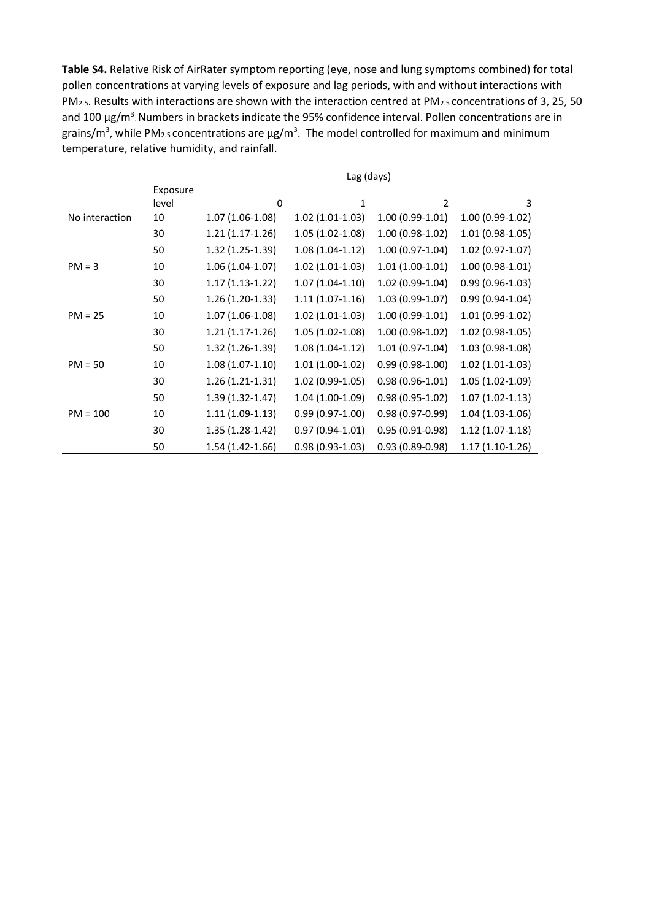**Table S4.** Relative Risk of AirRater symptom reporting (eye, nose and lung symptoms combined) for total pollen concentrations at varying levels of exposure and lag periods, with and without interactions with PM<sub>2.5</sub>. Results with interactions are shown with the interaction centred at PM<sub>2.5</sub> concentrations of 3, 25, 50 and 100 μg/m<sup>3</sup> Numbers in brackets indicate the 95% confidence interval. Pollen concentrations are in grains/m<sup>3</sup>, while PM<sub>2.5</sub> concentrations are μg/m<sup>3</sup>. The model controlled for maximum and minimum temperature, relative humidity, and rainfall.

|                |                   | Lag (days)        |                   |                     |                   |  |
|----------------|-------------------|-------------------|-------------------|---------------------|-------------------|--|
|                | Exposure<br>level | 0                 | 1                 | $\overline{2}$      | 3                 |  |
| No interaction | 10                | 1.07 (1.06-1.08)  | $1.02(1.01-1.03)$ | $1.00(0.99-1.01)$   | $1.00(0.99-1.02)$ |  |
|                | 30                | $1.21(1.17-1.26)$ | $1.05(1.02-1.08)$ | $1.00(0.98-1.02)$   | $1.01(0.98-1.05)$ |  |
|                | 50                | 1.32 (1.25-1.39)  | $1.08(1.04-1.12)$ | $1.00(0.97-1.04)$   | 1.02 (0.97-1.07)  |  |
| $PM = 3$       | 10                | $1.06(1.04-1.07)$ | $1.02(1.01-1.03)$ | $1.01(1.00-1.01)$   | $1.00(0.98-1.01)$ |  |
|                | 30                | $1.17(1.13-1.22)$ | $1.07(1.04-1.10)$ | 1.02 (0.99-1.04)    | $0.99(0.96-1.03)$ |  |
|                | 50                | $1.26(1.20-1.33)$ | $1.11(1.07-1.16)$ | 1.03 (0.99-1.07)    | $0.99(0.94-1.04)$ |  |
| $PM = 25$      | 10                | $1.07(1.06-1.08)$ | $1.02(1.01-1.03)$ | $1.00(0.99-1.01)$   | $1.01(0.99-1.02)$ |  |
|                | 30                | 1.21 (1.17-1.26)  | $1.05(1.02-1.08)$ | $1.00(0.98-1.02)$   | 1.02 (0.98-1.05)  |  |
|                | 50                | 1.32 (1.26-1.39)  | $1.08(1.04-1.12)$ | $1.01(0.97-1.04)$   | 1.03 (0.98-1.08)  |  |
| $PM = 50$      | 10                | $1.08(1.07-1.10)$ | $1.01(1.00-1.02)$ | $0.99(0.98-1.00)$   | $1.02(1.01-1.03)$ |  |
|                | 30                | $1.26(1.21-1.31)$ | 1.02 (0.99-1.05)  | $0.98(0.96-1.01)$   | $1.05(1.02-1.09)$ |  |
|                | 50                | $1.39(1.32-1.47)$ | $1.04(1.00-1.09)$ | $0.98(0.95-1.02)$   | $1.07(1.02-1.13)$ |  |
| $PM = 100$     | 10                | $1.11(1.09-1.13)$ | $0.99(0.97-1.00)$ | $0.98(0.97-0.99)$   | $1.04(1.03-1.06)$ |  |
|                | 30                | $1.35(1.28-1.42)$ | $0.97(0.94-1.01)$ | $0.95(0.91-0.98)$   | $1.12(1.07-1.18)$ |  |
|                | 50                | 1.54 (1.42-1.66)  | $0.98(0.93-1.03)$ | $0.93(0.89 - 0.98)$ | 1.17 (1.10-1.26)  |  |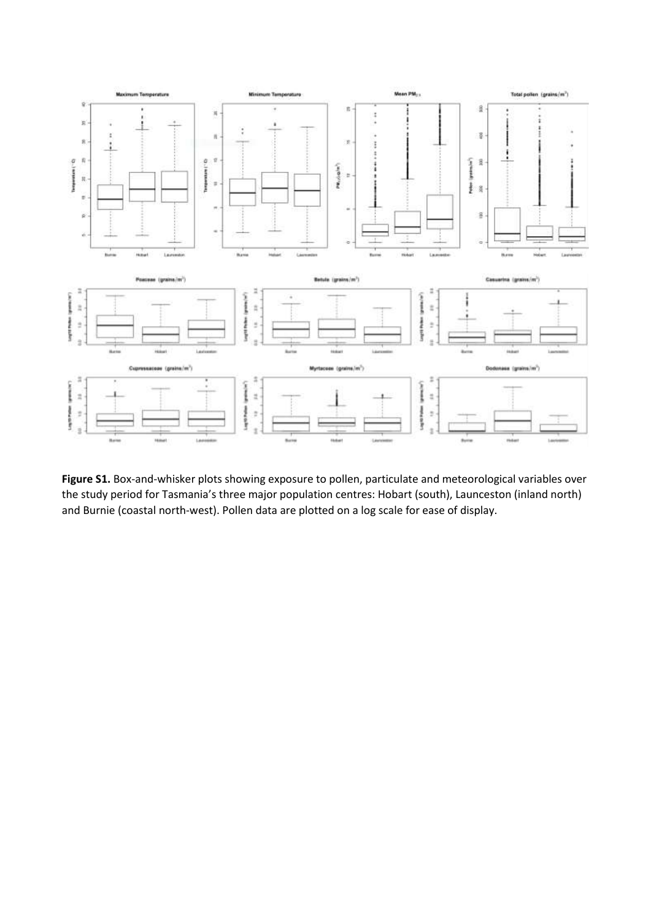

**Figure S1.** Box-and-whisker plots showing exposure to pollen, particulate and meteorological variables over the study period for Tasmania's three major population centres: Hobart (south), Launceston (inland north) and Burnie (coastal north-west). Pollen data are plotted on a log scale for ease of display.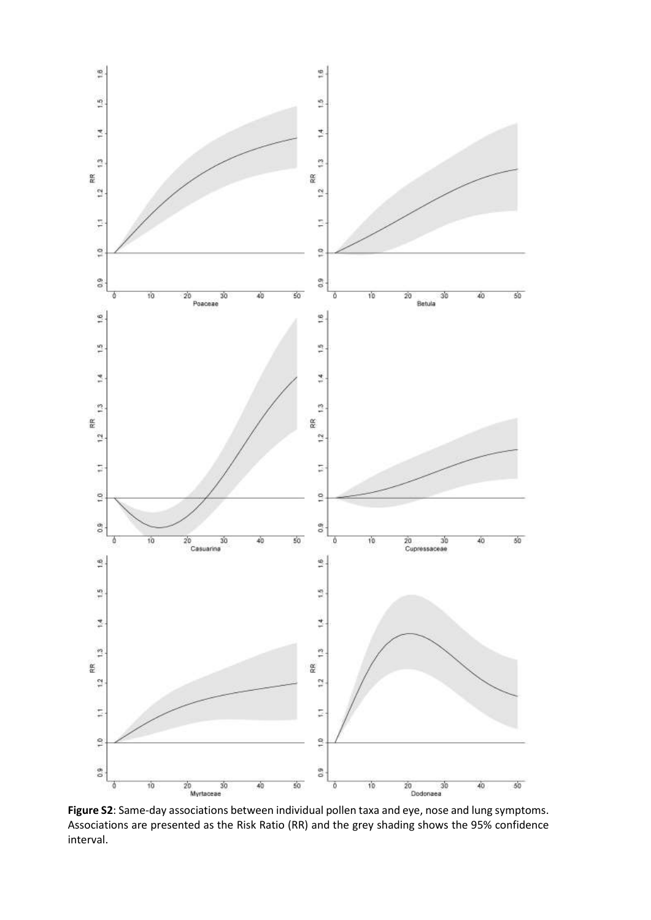

**Figure S2**: Same-day associations between individual pollen taxa and eye, nose and lung symptoms. Associations are presented as the Risk Ratio (RR) and the grey shading shows the 95% confidence interval.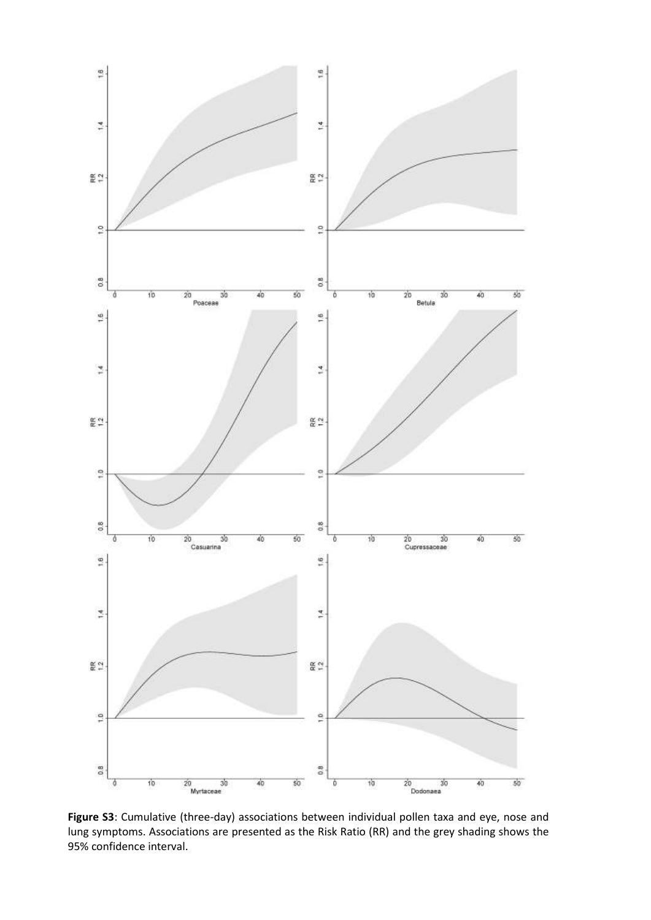

**Figure S3**: Cumulative (three-day) associations between individual pollen taxa and eye, nose and lung symptoms. Associations are presented as the Risk Ratio (RR) and the grey shading shows the 95% confidence interval.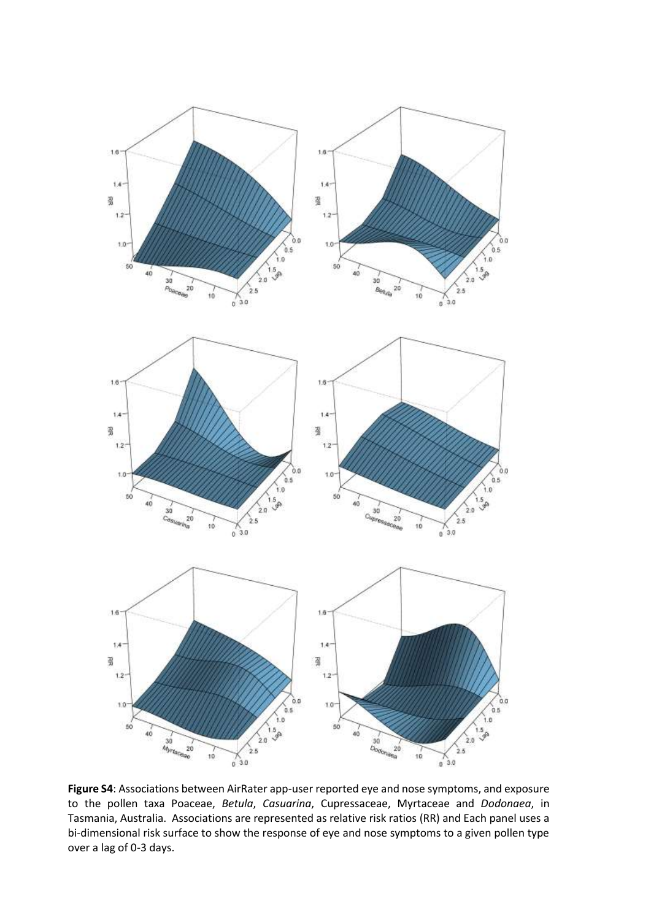

**Figure S4**: Associations between AirRater app-user reported eye and nose symptoms, and exposure to the pollen taxa Poaceae, *Betula*, *Casuarina*, Cupressaceae, Myrtaceae and *Dodonaea*, in Tasmania, Australia. Associations are represented as relative risk ratios (RR) and Each panel uses a bi-dimensional risk surface to show the response of eye and nose symptoms to a given pollen type over a lag of 0-3 days.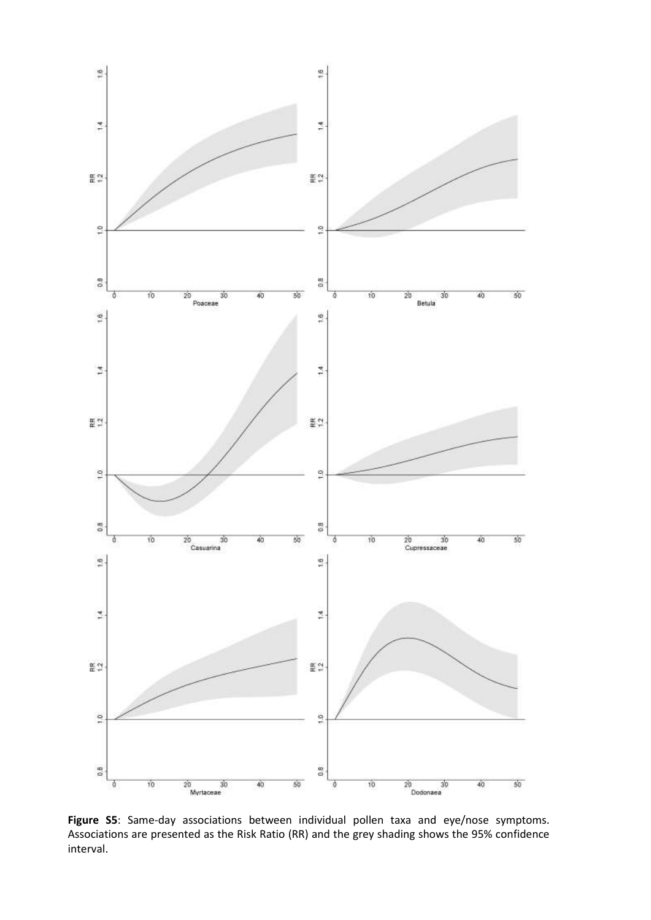

**Figure S5**: Same-day associations between individual pollen taxa and eye/nose symptoms. Associations are presented as the Risk Ratio (RR) and the grey shading shows the 95% confidence interval.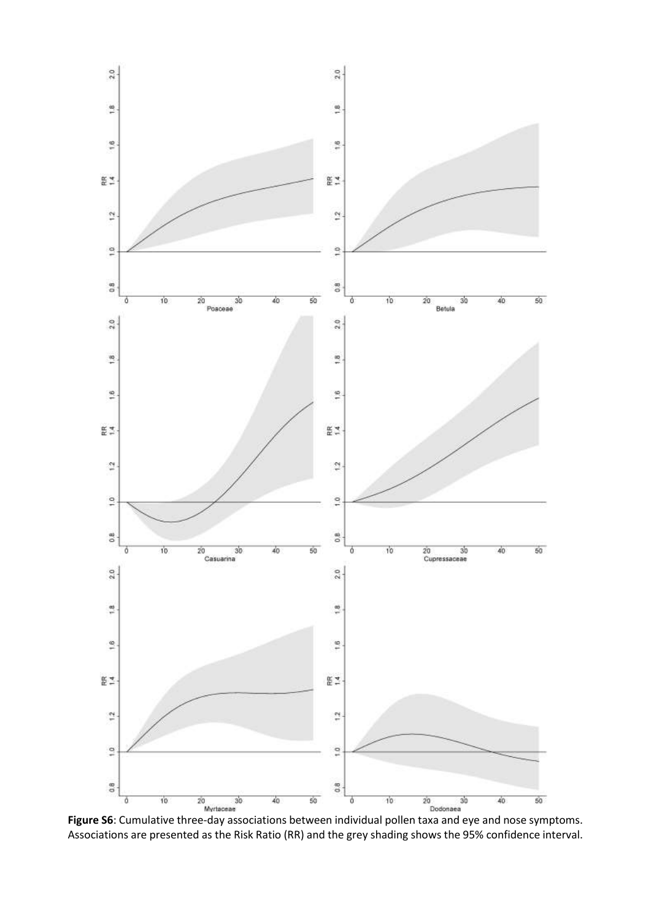

Associations are presented as the Risk Ratio (RR) and the grey shading shows the 95% confidence interval.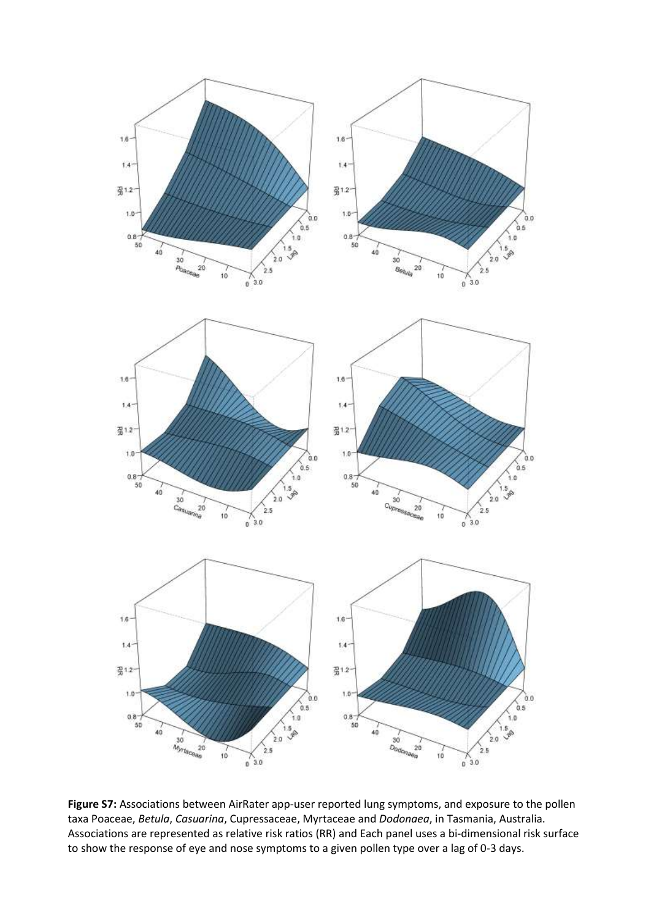

**Figure S7:** Associations between AirRater app-user reported lung symptoms, and exposure to the pollen taxa Poaceae, *Betula*, *Casuarina*, Cupressaceae, Myrtaceae and *Dodonaea*, in Tasmania, Australia. Associations are represented as relative risk ratios (RR) and Each panel uses a bi-dimensional risk surface to show the response of eye and nose symptoms to a given pollen type over a lag of 0-3 days.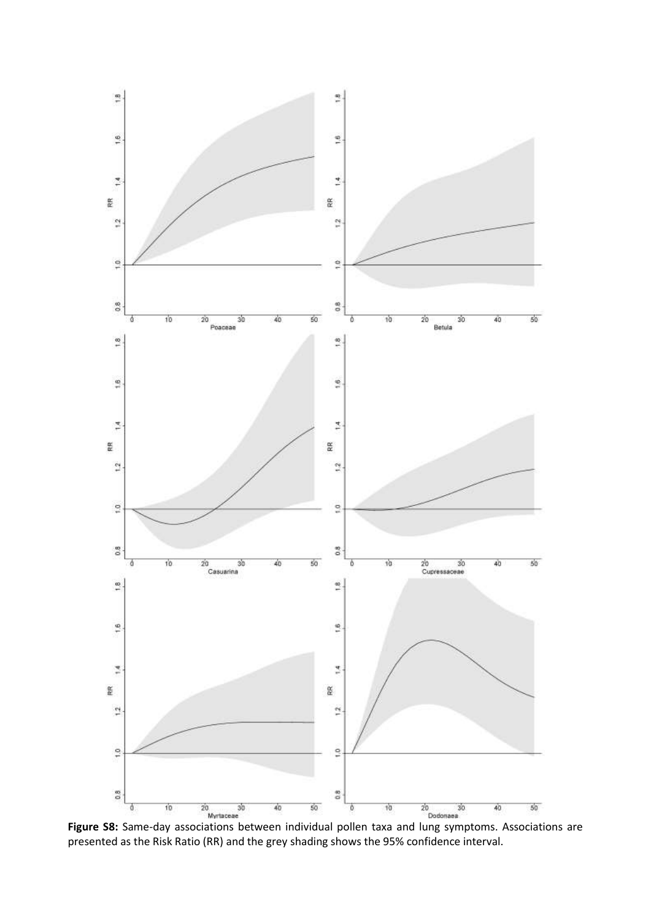

presented as the Risk Ratio (RR) and the grey shading shows the 95% confidence interval.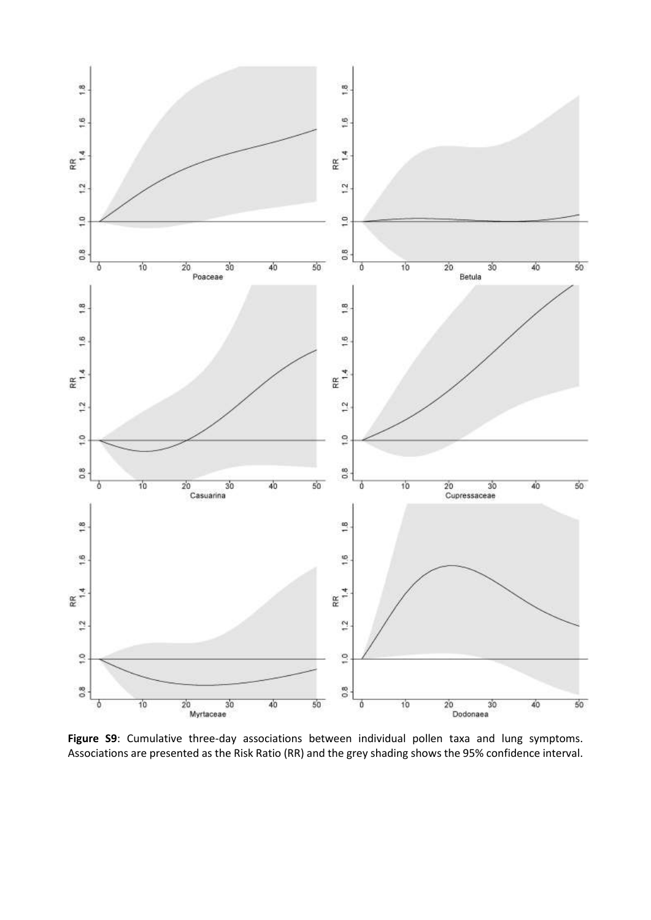

**Figure S9**: Cumulative three-day associations between individual pollen taxa and lung symptoms. Associations are presented as the Risk Ratio (RR) and the grey shading shows the 95% confidence interval.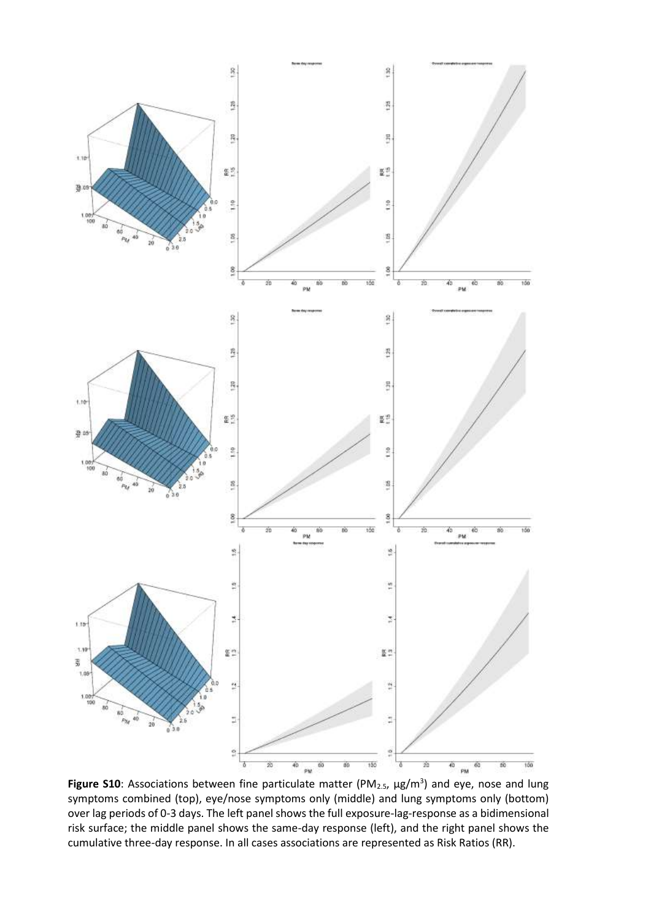

Figure S10: Associations between fine particulate matter (PM<sub>2.5</sub>,  $\mu$ g/m<sup>3</sup>) and eye, nose and lung symptoms combined (top), eye/nose symptoms only (middle) and lung symptoms only (bottom) over lag periods of 0-3 days. The left panel shows the full exposure-lag-response as a bidimensional risk surface; the middle panel shows the same-day response (left), and the right panel shows the cumulative three-day response. In all cases associations are represented as Risk Ratios (RR).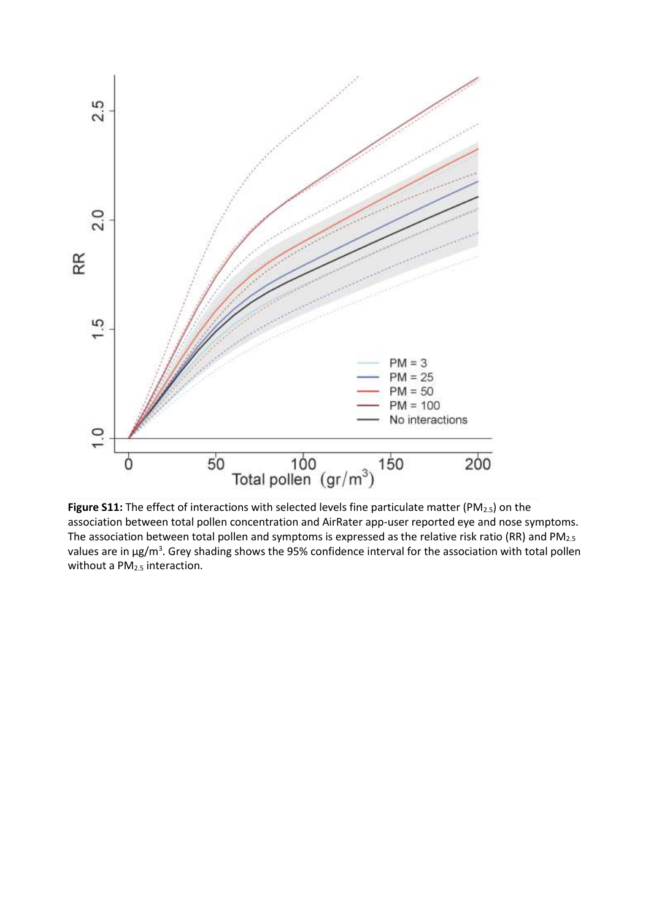

Figure S11: The effect of interactions with selected levels fine particulate matter (PM<sub>2.5</sub>) on the association between total pollen concentration and AirRater app-user reported eye and nose symptoms. The association between total pollen and symptoms is expressed as the relative risk ratio (RR) and PM<sub>2.5</sub> values are in µg/m<sup>3</sup>. Grey shading shows the 95% confidence interval for the association with total pollen without a PM<sub>2.5</sub> interaction.